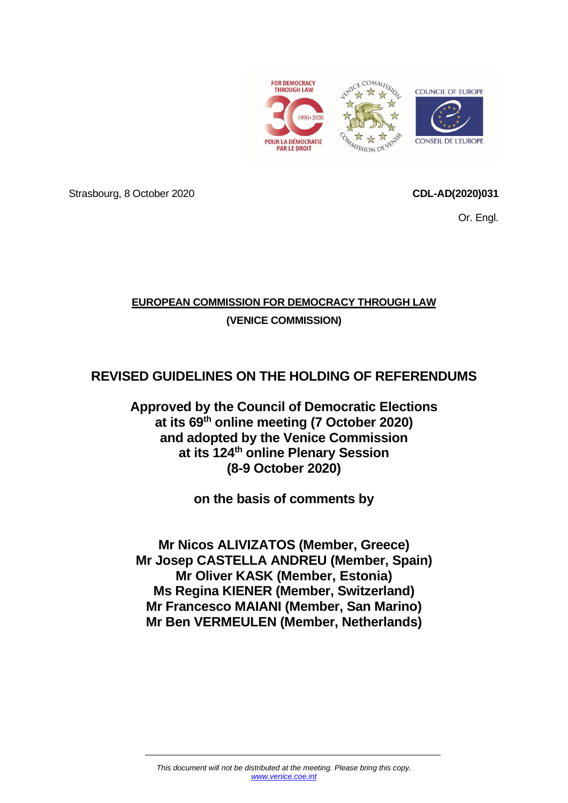<span id="page-0-0"></span>

Strasbourg, 8 October 2020 **CDL-AD(2020)031**

Or. Engl.

# **EUROPEAN COMMISSION FOR DEMOCRACY THROUGH LAW (VENICE COMMISSION)**

# **REVISED GUIDELINES ON THE HOLDING OF REFERENDUMS**

**Approved by the Council of Democratic Elections at its 69th online meeting (7 October 2020) and adopted by the Venice Commission at its 124th online Plenary Session (8-9 October 2020)**

**on the basis of comments by**

**Mr Nicos ALIVIZATOS (Member, Greece) Mr Josep CASTELLA ANDREU (Member, Spain) Mr Oliver KASK (Member, Estonia) Ms Regina KIENER (Member, Switzerland) Mr Francesco MAIANI (Member, San Marino) Mr Ben VERMEULEN (Member, Netherlands)**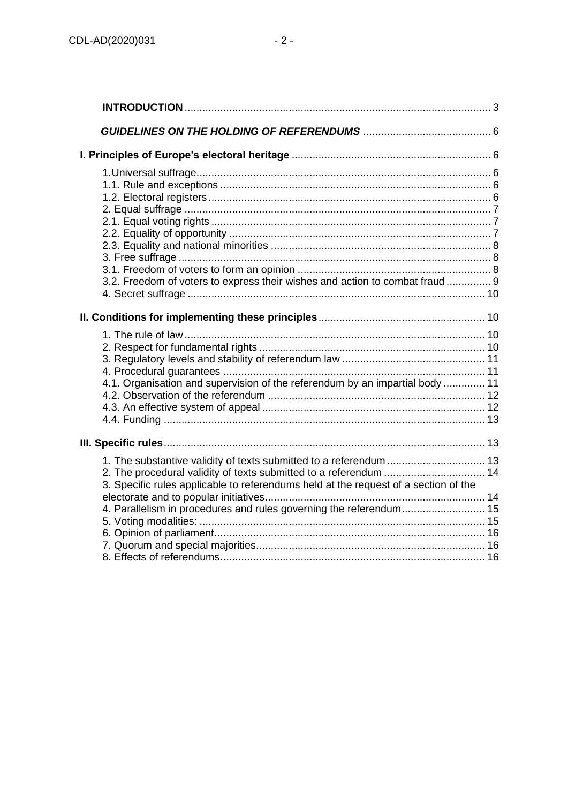| 3.2. Freedom of voters to express their wishes and action to combat fraud  9                                                                              |  |
|-----------------------------------------------------------------------------------------------------------------------------------------------------------|--|
|                                                                                                                                                           |  |
| 4.1. Organisation and supervision of the referendum by an impartial body  11                                                                              |  |
|                                                                                                                                                           |  |
| 1. The substantive validity of texts submitted to a referendum  13<br>3. Specific rules applicable to referendums held at the request of a section of the |  |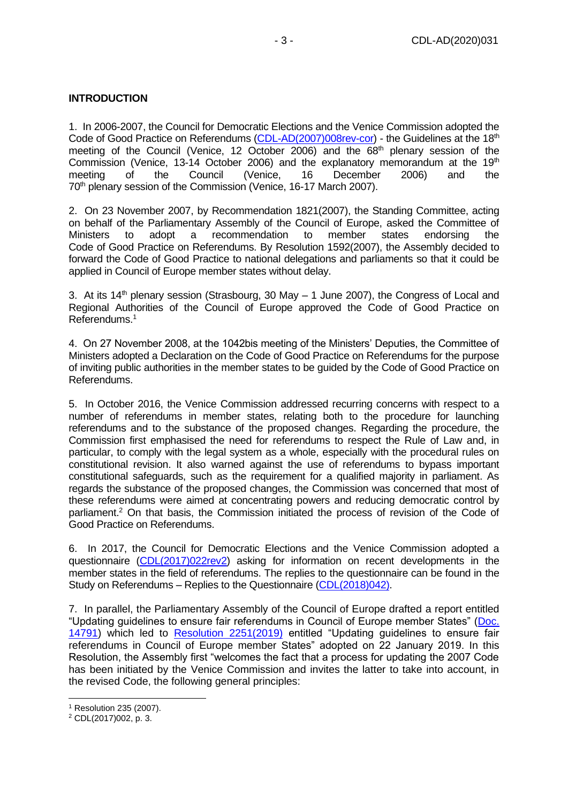# <span id="page-2-0"></span>**INTRODUCTION**

1. In 2006-2007, the Council for Democratic Elections and the Venice Commission adopted the Code of Good Practice on Referendums [\(CDL-AD\(2007\)008rev-cor\)](https://www.venice.coe.int/webforms/documents/?pdf=CDL-AD(2007)008rev-cor-e) - the Guidelines at the 18<sup>th</sup> meeting of the Council (Venice, 12 October 2006) and the 68<sup>th</sup> plenary session of the Commission (Venice, 13-14 October 2006) and the explanatory memorandum at the 19<sup>th</sup><br>meeting of the Council (Venice. 16 December 2006) and the meeting of the Council (Venice, 16 December 2006) and the 70<sup>th</sup> plenary session of the Commission (Venice, 16-17 March 2007).

2. On 23 November 2007, by Recommendation 1821(2007), the Standing Committee, acting on behalf of the Parliamentary Assembly of the Council of Europe, asked the Committee of Ministers to adopt a recommendation to member states endorsing the Code of Good Practice on Referendums. By Resolution 1592(2007), the Assembly decided to forward the Code of Good Practice to national delegations and parliaments so that it could be applied in Council of Europe member states without delay.

3. At its 14<sup>th</sup> plenary session (Strasbourg, 30 May  $-$  1 June 2007), the Congress of Local and Regional Authorities of the Council of Europe approved the Code of Good Practice on Referendums.<sup>1</sup>

4. On 27 November 2008, at the 1042bis meeting of the Ministers' Deputies, the Committee of Ministers adopted a Declaration on the Code of Good Practice on Referendums for the purpose of inviting public authorities in the member states to be guided by the Code of Good Practice on Referendums.

5. In October 2016, the Venice Commission addressed recurring concerns with respect to a number of referendums in member states, relating both to the procedure for launching referendums and to the substance of the proposed changes. Regarding the procedure, the Commission first emphasised the need for referendums to respect the Rule of Law and, in particular, to comply with the legal system as a whole, especially with the procedural rules on constitutional revision. It also warned against the use of referendums to bypass important constitutional safeguards, such as the requirement for a qualified majority in parliament. As regards the substance of the proposed changes, the Commission was concerned that most of these referendums were aimed at concentrating powers and reducing democratic control by parliament.<sup>2</sup> On that basis, the Commission initiated the process of revision of the Code of Good Practice on Referendums.

6. In 2017, the Council for Democratic Elections and the Venice Commission adopted a questionnaire [\(CDL\(2017\)022rev2\)](https://www.venice.coe.int/webforms/documents/?pdf=CDL(2017)022rev2-e) asking for information on recent developments in the member states in the field of referendums. The replies to the questionnaire can be found in the Study on Referendums – Replies to the Questionnaire [\(CDL\(2018\)042\)](https://www.venice.coe.int/webforms/documents/?pdf=CDL(2018)042-e).

7. In parallel, the Parliamentary Assembly of the Council of Europe drafted a report entitled "Updating guidelines to ensure fair referendums in Council of Europe member States" [\(Doc.](http://assembly.coe.int/nw/xml/XRef/Xref-DocDetails-EN.asp?fileid=25231&lang=EN&search=MTQ3OTF8dHlwZV9zdHJfZW46UmVwb3J0)  [14791\)](http://assembly.coe.int/nw/xml/XRef/Xref-DocDetails-EN.asp?fileid=25231&lang=EN&search=MTQ3OTF8dHlwZV9zdHJfZW46UmVwb3J0) which led to [Resolution 2251\(2019\)](http://assembly.coe.int/nw/xml/XRef/Xref-DocDetails-EN.asp?fileid=25325&lang=EN&search=MjI1MXx0eXBlX3N0cl9lbjpSZXNvbHV0aW9u) entitled "Updating guidelines to ensure fair referendums in Council of Europe member States" adopted on 22 January 2019. In this Resolution, the Assembly first "welcomes the fact that a process for updating the 2007 Code has been initiated by the Venice Commission and invites the latter to take into account, in the revised Code, the following general principles:

<sup>1</sup> Resolution 235 (2007).

<sup>2</sup> CDL(2017)002, p. 3.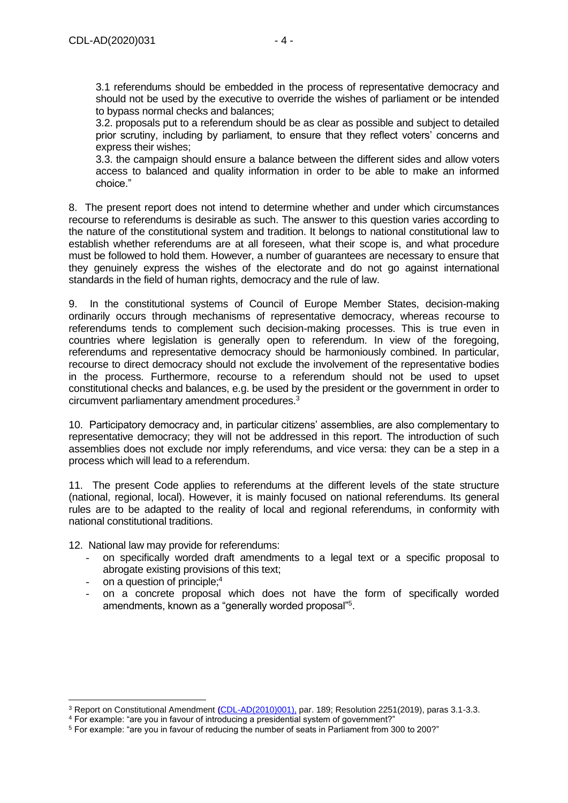3.1 referendums should be embedded in the process of representative democracy and should not be used by the executive to override the wishes of parliament or be intended to bypass normal checks and balances;

3.2. proposals put to a referendum should be as clear as possible and subject to detailed prior scrutiny, including by parliament, to ensure that they reflect voters' concerns and express their wishes;

3.3. the campaign should ensure a balance between the different sides and allow voters access to balanced and quality information in order to be able to make an informed choice."

8. The present report does not intend to determine whether and under which circumstances recourse to referendums is desirable as such. The answer to this question varies according to the nature of the constitutional system and tradition. It belongs to national constitutional law to establish whether referendums are at all foreseen, what their scope is, and what procedure must be followed to hold them. However, a number of guarantees are necessary to ensure that they genuinely express the wishes of the electorate and do not go against international standards in the field of human rights, democracy and the rule of law.

9. In the constitutional systems of Council of Europe Member States, decision-making ordinarily occurs through mechanisms of representative democracy, whereas recourse to referendums tends to complement such decision-making processes. This is true even in countries where legislation is generally open to referendum. In view of the foregoing, referendums and representative democracy should be harmoniously combined. In particular, recourse to direct democracy should not exclude the involvement of the representative bodies in the process. Furthermore, recourse to a referendum should not be used to upset constitutional checks and balances, e.g. be used by the president or the government in order to circumvent parliamentary amendment procedures.<sup>3</sup>

10. Participatory democracy and, in particular citizens' assemblies, are also complementary to representative democracy; they will not be addressed in this report. The introduction of such assemblies does not exclude nor imply referendums, and vice versa: they can be a step in a process which will lead to a referendum.

11. The present Code applies to referendums at the different levels of the state structure (national, regional, local). However, it is mainly focused on national referendums. Its general rules are to be adapted to the reality of local and regional referendums, in conformity with national constitutional traditions.

12. National law may provide for referendums:

- on specifically worded draft amendments to a legal text or a specific proposal to abrogate existing provisions of this text;
- on a question of principle; $4$
- on a concrete proposal which does not have the form of specifically worded amendments, known as a "generally worded proposal"<sup>5</sup>.

<sup>3</sup> Report on Constitutional Amendment **(**[CDL-AD\(2010\)001\),](https://www.venice.coe.int/webforms/documents/default.aspx?pdffile=CDL-AD(2010)001-e) par. 189; Resolution 2251(2019), paras 3.1-3.3.

<sup>4</sup> For example: "are you in favour of introducing a presidential system of government?"

<sup>5</sup> For example: "are you in favour of reducing the number of seats in Parliament from 300 to 200?"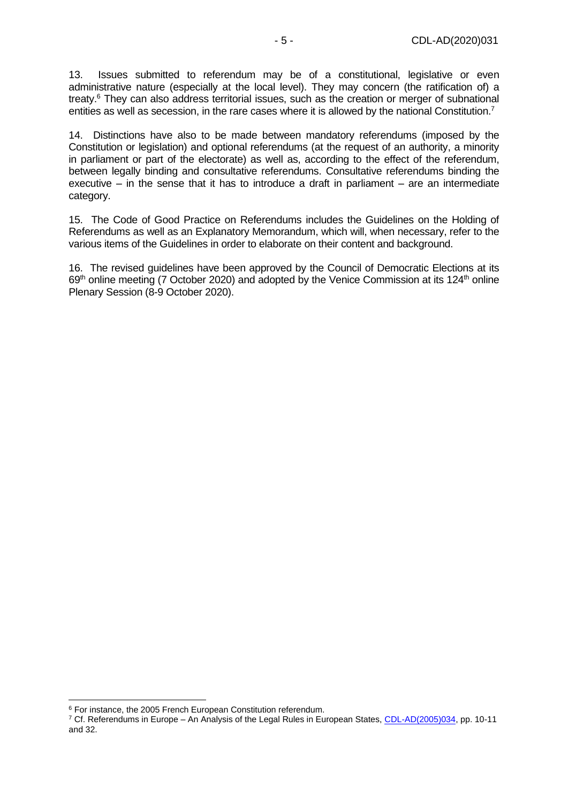13. Issues submitted to referendum may be of a constitutional, legislative or even administrative nature (especially at the local level). They may concern (the ratification of) a treaty.<sup>6</sup> They can also address territorial issues, such as the creation or merger of subnational entities as well as secession, in the rare cases where it is allowed by the national Constitution.<sup>7</sup>

14. Distinctions have also to be made between mandatory referendums (imposed by the Constitution or legislation) and optional referendums (at the request of an authority, a minority in parliament or part of the electorate) as well as, according to the effect of the referendum, between legally binding and consultative referendums. Consultative referendums binding the executive – in the sense that it has to introduce a draft in parliament – are an intermediate category.

15. The Code of Good Practice on Referendums includes the Guidelines on the Holding of Referendums as well as an Explanatory Memorandum, which will, when necessary, refer to the various items of the Guidelines in order to elaborate on their content and background.

16. The revised guidelines have been approved by the Council of Democratic Elections at its  $69<sup>th</sup>$  online meeting (7 October 2020) and adopted by the Venice Commission at its 124<sup>th</sup> online Plenary Session (8-9 October 2020).

<sup>&</sup>lt;sup>6</sup> For instance, the 2005 French European Constitution referendum.

<sup>&</sup>lt;sup>7</sup> Cf. Referendums in Europe - An Analysis of the Legal Rules in European States, [CDL-AD\(2005\)034,](https://www.venice.coe.int/webforms/documents/default.aspx?pdffile=CDL-AD(2005)034-e) pp. 10-11 and 32.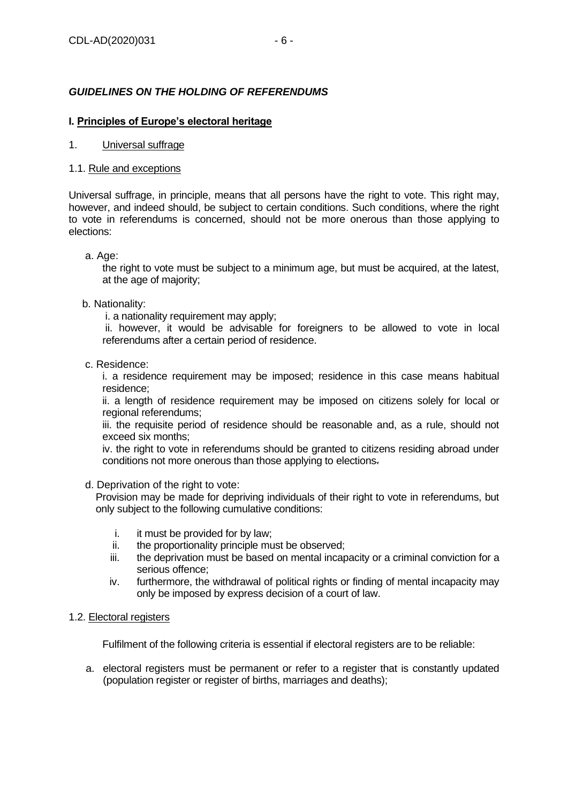# <span id="page-5-0"></span>*GUIDELINES ON THE HOLDING OF REFERENDUMS*

# <span id="page-5-2"></span><span id="page-5-1"></span>**I. Principles of Europe's electoral heritage**

# 1. Universal suffrage

# <span id="page-5-3"></span>1.1. Rule and exceptions

Universal suffrage, in principle, means that all persons have the right to vote. This right may, however, and indeed should, be subject to certain conditions. Such conditions, where the right to vote in referendums is concerned, should not be more onerous than those applying to elections:

# a. Age:

the right to vote must be subject to a minimum age, but must be acquired, at the latest, at the age of majority;

# b. Nationality:

i. a nationality requirement may apply;

ii. however, it would be advisable for foreigners to be allowed to vote in local referendums after a certain period of residence.

c. Residence:

i. a residence requirement may be imposed; residence in this case means habitual residence;

ii. a length of residence requirement may be imposed on citizens solely for local or regional referendums;

iii. the requisite period of residence should be reasonable and, as a rule, should not exceed six months;

iv. the right to vote in referendums should be granted to citizens residing abroad under conditions not more onerous than those applying to elections.

#### d. Deprivation of the right to vote:

Provision may be made for depriving individuals of their right to vote in referendums, but only subject to the following cumulative conditions:

- i. it must be provided for by law;
- ii. the proportionality principle must be observed;
- iii. the deprivation must be based on mental incapacity or a criminal conviction for a serious offence;
- iv. furthermore, the withdrawal of political rights or finding of mental incapacity may only be imposed by express decision of a court of law.

# <span id="page-5-4"></span>1.2. Electoral registers

Fulfilment of the following criteria is essential if electoral registers are to be reliable:

a. electoral registers must be permanent or refer to a register that is constantly updated (population register or register of births, marriages and deaths);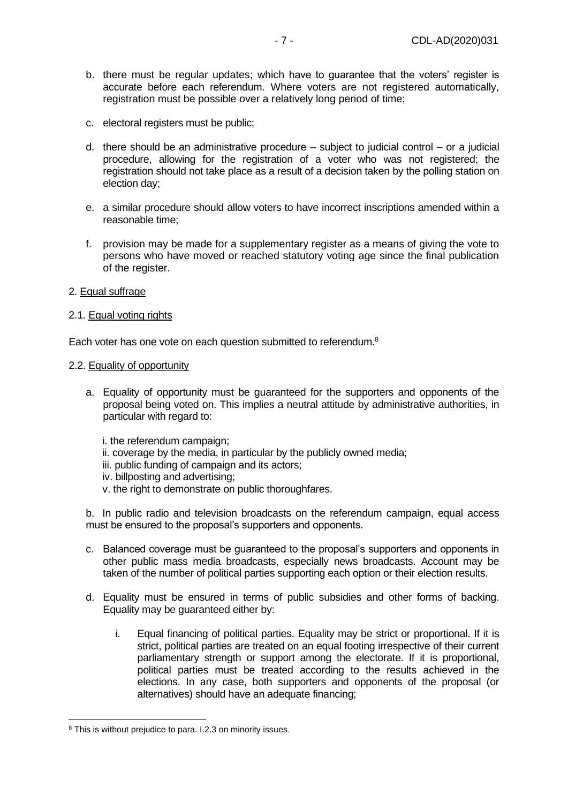- b. there must be regular updates; which have to guarantee that the voters' register is accurate before each referendum. Where voters are not registered automatically, registration must be possible over a relatively long period of time;
- c. electoral registers must be public;
- d. there should be an administrative procedure subject to judicial control or a judicial procedure, allowing for the registration of a voter who was not registered; the registration should not take place as a result of a decision taken by the polling station on election day;
- e. a similar procedure should allow voters to have incorrect inscriptions amended within a reasonable time;
- f. provision may be made for a supplementary register as a means of giving the vote to persons who have moved or reached statutory voting age since the final publication of the register.
- <span id="page-6-0"></span>2. Equal suffrage

# <span id="page-6-1"></span>2.1. Equal voting rights

<span id="page-6-2"></span>Each voter has one vote on each question submitted to referendum.<sup>8</sup>

#### 2.2. Equality of opportunity

- a. Equality of opportunity must be guaranteed for the supporters and opponents of the proposal being voted on. This implies a neutral attitude by administrative authorities, in particular with regard to:
	- i. the referendum campaign;
	- ii. coverage by the media, in particular by the publicly owned media;
	- iii. public funding of campaign and its actors;
	- iv. billposting and advertising;
	- v. the right to demonstrate on public thoroughfares.

b. In public radio and television broadcasts on the referendum campaign, equal access must be ensured to the proposal's supporters and opponents.

- c. Balanced coverage must be guaranteed to the proposal's supporters and opponents in other public mass media broadcasts, especially news broadcasts. Account may be taken of the number of political parties supporting each option or their election results.
- d. Equality must be ensured in terms of public subsidies and other forms of backing. Equality may be guaranteed either by:
	- i. Equal financing of political parties. Equality may be strict or proportional. If it is strict, political parties are treated on an equal footing irrespective of their current parliamentary strength or support among the electorate. If it is proportional, political parties must be treated according to the results achieved in the elections. In any case, both supporters and opponents of the proposal (or alternatives) should have an adequate financing;

<sup>&</sup>lt;sup>8</sup> This is without prejudice to para. I.2.3 on minority issues.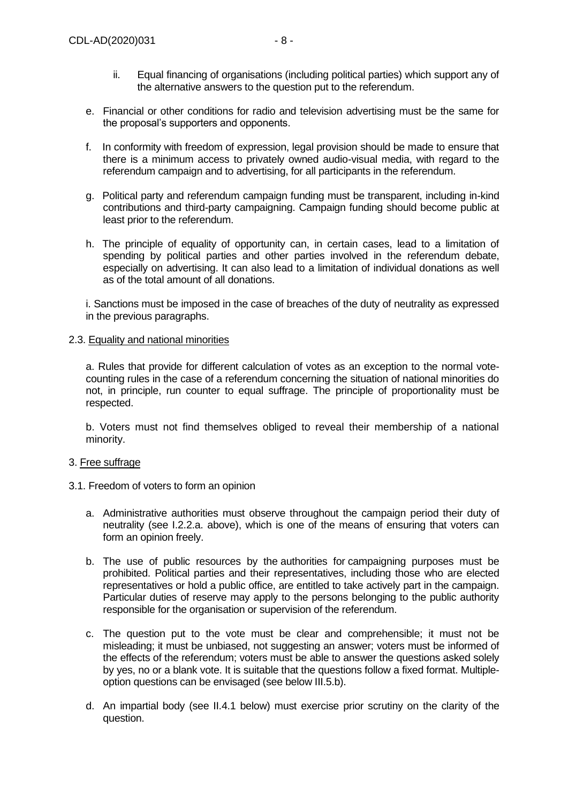- ii. Equal financing of organisations (including political parties) which support any of the alternative answers to the question put to the referendum.
- e. Financial or other conditions for radio and television advertising must be the same for the proposal's supporters and opponents.
- f. In conformity with freedom of expression, legal provision should be made to ensure that there is a minimum access to privately owned audio-visual media, with regard to the referendum campaign and to advertising, for all participants in the referendum.
- g. Political party and referendum campaign funding must be transparent, including in-kind contributions and third-party campaigning. Campaign funding should become public at least prior to the referendum.
- h. The principle of equality of opportunity can, in certain cases, lead to a limitation of spending by political parties and other parties involved in the referendum debate, especially on advertising. It can also lead to a limitation of individual donations as well as of the total amount of all donations.

i. Sanctions must be imposed in the case of breaches of the duty of neutrality as expressed in the previous paragraphs.

# <span id="page-7-0"></span>2.3. Equality and national minorities

a. Rules that provide for different calculation of votes as an exception to the normal votecounting rules in the case of a referendum concerning the situation of national minorities do not, in principle, run counter to equal suffrage. The principle of proportionality must be respected.

b. Voters must not find themselves obliged to reveal their membership of a national minority.

# <span id="page-7-1"></span>3. Free suffrage

- <span id="page-7-2"></span>3.1. Freedom of voters to form an opinion
	- a. Administrative authorities must observe throughout the campaign period their duty of neutrality (see I.2.2.a. above), which is one of the means of ensuring that voters can form an opinion freely.
	- b. The use of public resources by the authorities for campaigning purposes must be prohibited. Political parties and their representatives, including those who are elected representatives or hold a public office, are entitled to take actively part in the campaign. Particular duties of reserve may apply to the persons belonging to the public authority responsible for the organisation or supervision of the referendum.
	- c. The question put to the vote must be clear and comprehensible; it must not be misleading; it must be unbiased, not suggesting an answer; voters must be informed of the effects of the referendum; voters must be able to answer the questions asked solely by yes, no or a blank vote. It is suitable that the questions follow a fixed format. Multipleoption questions can be envisaged (see below III.5.b).
	- d. An impartial body (see II.4.1 below) must exercise prior scrutiny on the clarity of the question.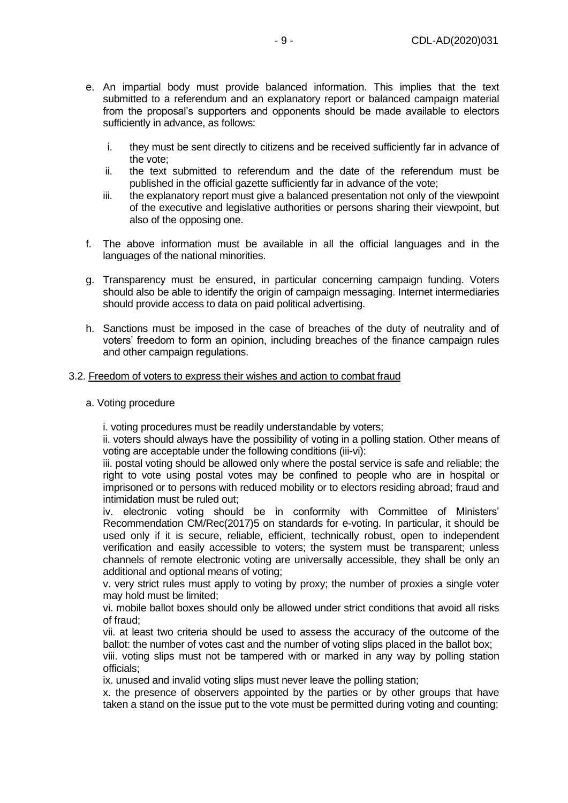- e. An impartial body must provide balanced information. This implies that the text submitted to a referendum and an explanatory report or balanced campaign material from the proposal's supporters and opponents should be made available to electors sufficiently in advance, as follows:
	- i. they must be sent directly to citizens and be received sufficiently far in advance of the vote;
	- ii. the text submitted to referendum and the date of the referendum must be published in the official gazette sufficiently far in advance of the vote;
	- iii. the explanatory report must give a balanced presentation not only of the viewpoint of the executive and legislative authorities or persons sharing their viewpoint, but also of the opposing one.
- f. The above information must be available in all the official languages and in the languages of the national minorities.
- g. Transparency must be ensured, in particular concerning campaign funding. Voters should also be able to identify the origin of campaign messaging. Internet intermediaries should provide access to data on paid political advertising.
- h. Sanctions must be imposed in the case of breaches of the duty of neutrality and of voters' freedom to form an opinion, including breaches of the finance campaign rules and other campaign regulations.

#### <span id="page-8-0"></span>3.2. Freedom of voters to express their wishes and action to combat fraud

#### a. Voting procedure

i. voting procedures must be readily understandable by voters;

ii. voters should always have the possibility of voting in a polling station. Other means of voting are acceptable under the following conditions (iii-vi):

iii. postal voting should be allowed only where the postal service is safe and reliable; the right to vote using postal votes may be confined to people who are in hospital or imprisoned or to persons with reduced mobility or to electors residing abroad; fraud and intimidation must be ruled out;

iv. electronic voting should be in conformity with Committee of Ministers' Recommendation CM/Rec(2017)5 on standards for e-voting. In particular, it should be used only if it is secure, reliable, efficient, technically robust, open to independent verification and easily accessible to voters; the system must be transparent; unless channels of remote electronic voting are universally accessible, they shall be only an additional and optional means of voting;

v. very strict rules must apply to voting by proxy; the number of proxies a single voter may hold must be limited;

vi. mobile ballot boxes should only be allowed under strict conditions that avoid all risks of fraud;

vii. at least two criteria should be used to assess the accuracy of the outcome of the ballot: the number of votes cast and the number of voting slips placed in the ballot box;

viii. voting slips must not be tampered with or marked in any way by polling station officials;

ix. unused and invalid voting slips must never leave the polling station;

x. the presence of observers appointed by the parties or by other groups that have taken a stand on the issue put to the vote must be permitted during voting and counting;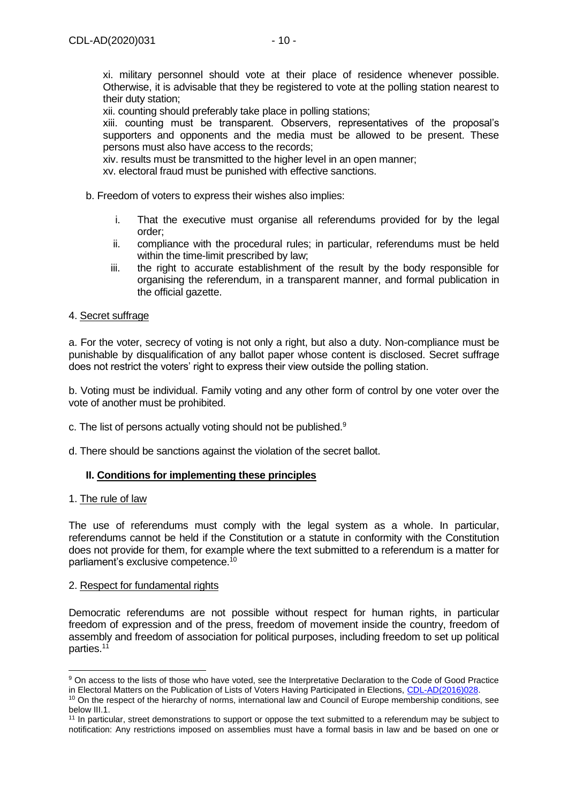xii. counting should preferably take place in polling stations;

xiii. counting must be transparent. Observers, representatives of the proposal's supporters and opponents and the media must be allowed to be present. These persons must also have access to the records;

xiv. results must be transmitted to the higher level in an open manner;

xv. electoral fraud must be punished with effective sanctions.

- b. Freedom of voters to express their wishes also implies:
	- i. That the executive must organise all referendums provided for by the legal order;
	- ii. compliance with the procedural rules; in particular, referendums must be held within the time-limit prescribed by law;
	- iii. the right to accurate establishment of the result by the body responsible for organising the referendum, in a transparent manner, and formal publication in the official gazette.

# <span id="page-9-0"></span>4. Secret suffrage

a. For the voter, secrecy of voting is not only a right, but also a duty. Non-compliance must be punishable by disqualification of any ballot paper whose content is disclosed. Secret suffrage does not restrict the voters' right to express their view outside the polling station.

b. Voting must be individual. Family voting and any other form of control by one voter over the vote of another must be prohibited.

- c. The list of persons actually voting should not be published.<sup>9</sup>
- d. There should be sanctions against the violation of the secret ballot.

# <span id="page-9-1"></span>**II. Conditions for implementing these principles**

#### <span id="page-9-2"></span>1. The rule of law

The use of referendums must comply with the legal system as a whole. In particular, referendums cannot be held if the Constitution or a statute in conformity with the Constitution does not provide for them, for example where the text submitted to a referendum is a matter for parliament's exclusive competence.<sup>10</sup>

#### <span id="page-9-3"></span>2. Respect for fundamental rights

Democratic referendums are not possible without respect for human rights, in particular freedom of expression and of the press, freedom of movement inside the country, freedom of assembly and freedom of association for political purposes, including freedom to set up political parties.<sup>11</sup>

<sup>&</sup>lt;sup>9</sup> On access to the lists of those who have voted, see the Interpretative Declaration to the Code of Good Practice in Electoral Matters on the Publication of Lists of Voters Having Participated in Elections, [CDL-AD\(2016\)028.](https://www.venice.coe.int/webforms/documents/default.aspx?pdffile=CDL-AD(2016)028-e)

<sup>&</sup>lt;sup>10</sup> On the respect of the hierarchy of norms, international law and Council of Europe membership conditions, see below III.1.

<sup>&</sup>lt;sup>11</sup> In particular, street demonstrations to support or oppose the text submitted to a referendum may be subject to notification: Any restrictions imposed on assemblies must have a formal basis in law and be based on one or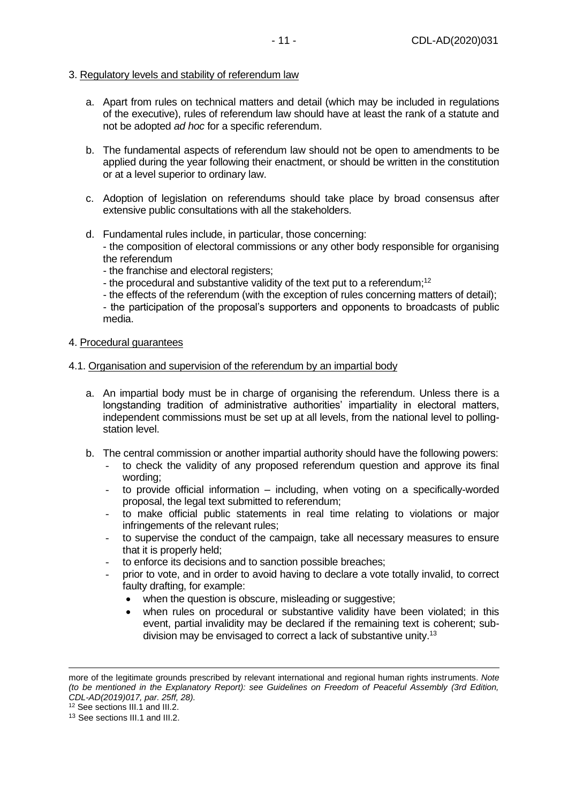# <span id="page-10-0"></span>3. Regulatory levels and stability of referendum law

- a. Apart from rules on technical matters and detail (which may be included in regulations of the executive), rules of referendum law should have at least the rank of a statute and not be adopted *ad hoc* for a specific referendum.
- b. The fundamental aspects of referendum law should not be open to amendments to be applied during the year following their enactment, or should be written in the constitution or at a level superior to ordinary law.
- c. Adoption of legislation on referendums should take place by broad consensus after extensive public consultations with all the stakeholders.
- d. Fundamental rules include, in particular, those concerning: - the composition of electoral commissions or any other body responsible for organising the referendum
	- the franchise and electoral registers;
	- the procedural and substantive validity of the text put to a referendum;<sup>12</sup>
	- the effects of the referendum (with the exception of rules concerning matters of detail);

- the participation of the proposal's supporters and opponents to broadcasts of public media.

- <span id="page-10-1"></span>4. Procedural guarantees
- <span id="page-10-2"></span>4.1. Organisation and supervision of the referendum by an impartial body
	- a. An impartial body must be in charge of organising the referendum. Unless there is a longstanding tradition of administrative authorities' impartiality in electoral matters, independent commissions must be set up at all levels, from the national level to pollingstation level.
	- b. The central commission or another impartial authority should have the following powers:
		- to check the validity of any proposed referendum question and approve its final wording;
		- to provide official information  $-$  including, when voting on a specifically-worded proposal, the legal text submitted to referendum;
		- to make official public statements in real time relating to violations or major infringements of the relevant rules;
		- to supervise the conduct of the campaign, take all necessary measures to ensure that it is properly held;
		- to enforce its decisions and to sanction possible breaches;
		- prior to vote, and in order to avoid having to declare a vote totally invalid, to correct faulty drafting, for example:
			- when the question is obscure, misleading or suggestive;
			- when rules on procedural or substantive validity have been violated; in this event, partial invalidity may be declared if the remaining text is coherent; subdivision may be envisaged to correct a lack of substantive unity.<sup>13</sup>

more of the legitimate grounds prescribed by relevant international and regional human rights instruments. *Note (to be mentioned in the Explanatory Report): see Guidelines on Freedom of Peaceful Assembly (3rd Edition, CDL-AD(2019)017, par. 25ff, 28).*

<sup>12</sup> See sections III.1 and III.2.

<sup>13</sup> See sections III.1 and III.2.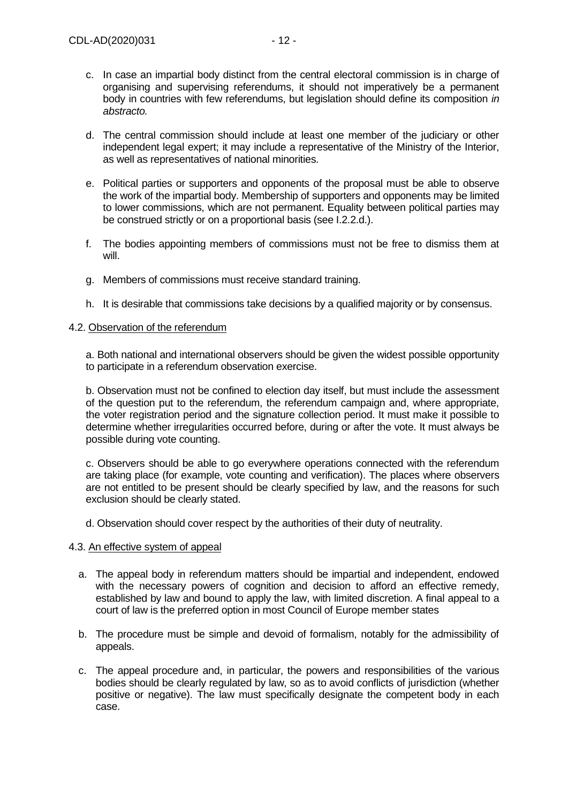- c. In case an impartial body distinct from the central electoral commission is in charge of organising and supervising referendums, it should not imperatively be a permanent body in countries with few referendums, but legislation should define its composition *in abstracto.*
- d. The central commission should include at least one member of the judiciary or other independent legal expert; it may include a representative of the Ministry of the Interior, as well as representatives of national minorities.
- e. Political parties or supporters and opponents of the proposal must be able to observe the work of the impartial body. Membership of supporters and opponents may be limited to lower commissions, which are not permanent. Equality between political parties may be construed strictly or on a proportional basis (see I.2.2.d.).
- f. The bodies appointing members of commissions must not be free to dismiss them at will.
- g. Members of commissions must receive standard training.
- h. It is desirable that commissions take decisions by a qualified majority or by consensus.

#### <span id="page-11-0"></span>4.2. Observation of the referendum

a. Both national and international observers should be given the widest possible opportunity to participate in a referendum observation exercise.

b. Observation must not be confined to election day itself, but must include the assessment of the question put to the referendum, the referendum campaign and, where appropriate, the voter registration period and the signature collection period. It must make it possible to determine whether irregularities occurred before, during or after the vote. It must always be possible during vote counting.

c. Observers should be able to go everywhere operations connected with the referendum are taking place (for example, vote counting and verification). The places where observers are not entitled to be present should be clearly specified by law, and the reasons for such exclusion should be clearly stated.

d. Observation should cover respect by the authorities of their duty of neutrality.

#### <span id="page-11-1"></span>4.3. An effective system of appeal

- a. The appeal body in referendum matters should be impartial and independent, endowed with the necessary powers of cognition and decision to afford an effective remedy, established by law and bound to apply the law, with limited discretion. A final appeal to a court of law is the preferred option in most Council of Europe member states
- b. The procedure must be simple and devoid of formalism, notably for the admissibility of appeals.
- c. The appeal procedure and, in particular, the powers and responsibilities of the various bodies should be clearly regulated by law, so as to avoid conflicts of jurisdiction (whether positive or negative). The law must specifically designate the competent body in each case.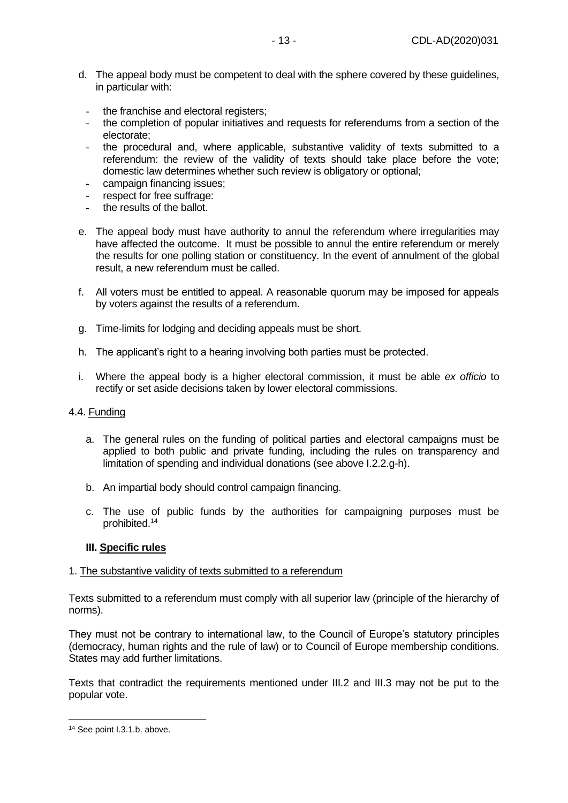- d. The appeal body must be competent to deal with the sphere covered by these guidelines, in particular with:
	- the franchise and electoral registers:
	- the completion of popular initiatives and requests for referendums from a section of the electorate;
	- the procedural and, where applicable, substantive validity of texts submitted to a referendum: the review of the validity of texts should take place before the vote; domestic law determines whether such review is obligatory or optional;
	- campaign financing issues;
	- respect for free suffrage:
	- the results of the ballot.
- e. The appeal body must have authority to annul the referendum where irregularities may have affected the outcome. It must be possible to annul the entire referendum or merely the results for one polling station or constituency. In the event of annulment of the global result, a new referendum must be called.
- f. All voters must be entitled to appeal. A reasonable quorum may be imposed for appeals by voters against the results of a referendum.
- g. Time-limits for lodging and deciding appeals must be short.
- h. The applicant's right to a hearing involving both parties must be protected.
- i. Where the appeal body is a higher electoral commission, it must be able *ex officio* to rectify or set aside decisions taken by lower electoral commissions.

# <span id="page-12-0"></span>4.4. Funding

- a. The general rules on the funding of political parties and electoral campaigns must be applied to both public and private funding, including the rules on transparency and limitation of spending and individual donations (see above I.2.2.g-h).
- b. An impartial body should control campaign financing.
- c. The use of public funds by the authorities for campaigning purposes must be prohibited.<sup>14</sup>

# <span id="page-12-1"></span>**III. Specific rules**

# <span id="page-12-2"></span>1. The substantive validity of texts submitted to a referendum

Texts submitted to a referendum must comply with all superior law (principle of the hierarchy of norms).

They must not be contrary to international law, to the Council of Europe's statutory principles (democracy, human rights and the rule of law) or to Council of Europe membership conditions. States may add further limitations.

Texts that contradict the requirements mentioned under III.2 and III.3 may not be put to the popular vote.

<sup>14</sup> See point I.3.1.b. above.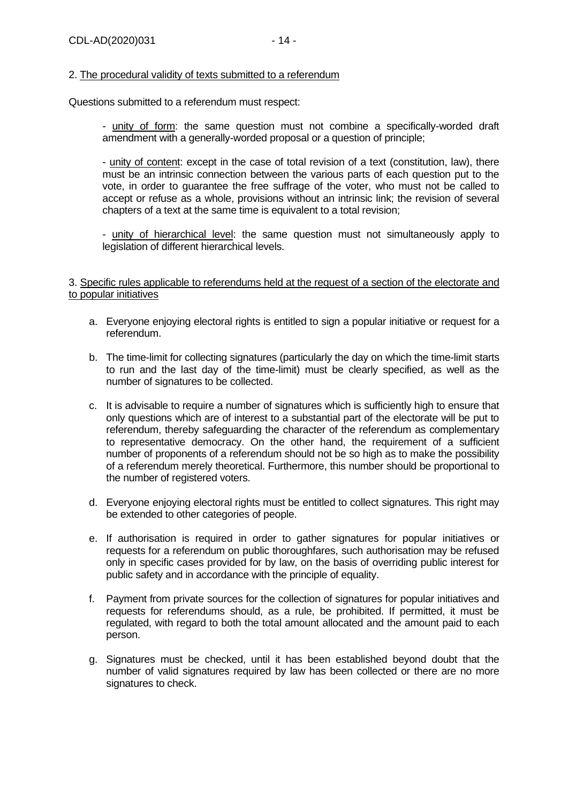# <span id="page-13-0"></span>2. The procedural validity of texts submitted to a referendum

Questions submitted to a referendum must respect:

- unity of form: the same question must not combine a specifically-worded draft amendment with a generally-worded proposal or a question of principle;

- unity of content: except in the case of total revision of a text (constitution, law), there must be an intrinsic connection between the various parts of each question put to the vote, in order to guarantee the free suffrage of the voter, who must not be called to accept or refuse as a whole, provisions without an intrinsic link; the revision of several chapters of a text at the same time is equivalent to a total revision;

- unity of hierarchical level: the same question must not simultaneously apply to legislation of different hierarchical levels.

# <span id="page-13-1"></span>3. Specific rules applicable to referendums held at the request of a section of the electorate and to popular initiatives

- a. Everyone enjoying electoral rights is entitled to sign a popular initiative or request for a referendum.
- b. The time-limit for collecting signatures (particularly the day on which the time-limit starts to run and the last day of the time-limit) must be clearly specified, as well as the number of signatures to be collected.
- c. It is advisable to require a number of signatures which is sufficiently high to ensure that only questions which are of interest to a substantial part of the electorate will be put to referendum, thereby safeguarding the character of the referendum as complementary to representative democracy. On the other hand, the requirement of a sufficient number of proponents of a referendum should not be so high as to make the possibility of a referendum merely theoretical. Furthermore, this number should be proportional to the number of registered voters.
- d. Everyone enjoying electoral rights must be entitled to collect signatures. This right may be extended to other categories of people.
- e. If authorisation is required in order to gather signatures for popular initiatives or requests for a referendum on public thoroughfares, such authorisation may be refused only in specific cases provided for by law, on the basis of overriding public interest for public safety and in accordance with the principle of equality.
- f. Payment from private sources for the collection of signatures for popular initiatives and requests for referendums should, as a rule, be prohibited. If permitted, it must be regulated, with regard to both the total amount allocated and the amount paid to each person.
- g. Signatures must be checked, until it has been established beyond doubt that the number of valid signatures required by law has been collected or there are no more signatures to check.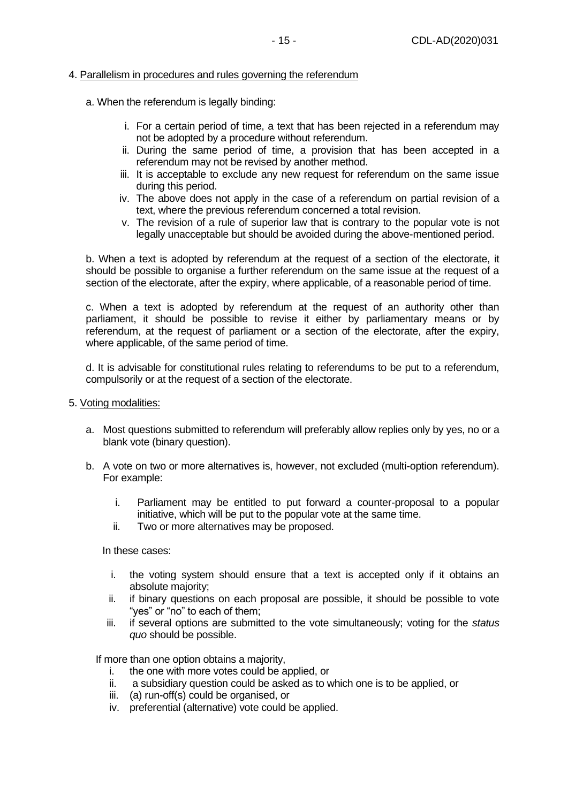# <span id="page-14-0"></span>4. Parallelism in procedures and rules governing the referendum

- a. When the referendum is legally binding:
	- i. For a certain period of time, a text that has been rejected in a referendum may not be adopted by a procedure without referendum.
	- ii. During the same period of time, a provision that has been accepted in a referendum may not be revised by another method.
	- iii. It is acceptable to exclude any new request for referendum on the same issue during this period.
	- iv. The above does not apply in the case of a referendum on partial revision of a text, where the previous referendum concerned a total revision.
	- v. The revision of a rule of superior law that is contrary to the popular vote is not legally unacceptable but should be avoided during the above-mentioned period.

b. When a text is adopted by referendum at the request of a section of the electorate, it should be possible to organise a further referendum on the same issue at the request of a section of the electorate, after the expiry, where applicable, of a reasonable period of time.

c. When a text is adopted by referendum at the request of an authority other than parliament, it should be possible to revise it either by parliamentary means or by referendum, at the request of parliament or a section of the electorate, after the expiry, where applicable, of the same period of time.

d. It is advisable for constitutional rules relating to referendums to be put to a referendum, compulsorily or at the request of a section of the electorate.

- <span id="page-14-1"></span>5. Voting modalities:
	- a. Most questions submitted to referendum will preferably allow replies only by yes, no or a blank vote (binary question).
	- b. A vote on two or more alternatives is, however, not excluded (multi-option referendum). For example:
		- i. Parliament may be entitled to put forward a counter-proposal to a popular initiative, which will be put to the popular vote at the same time.
		- ii. Two or more alternatives may be proposed.

#### In these cases:

- i. the voting system should ensure that a text is accepted only if it obtains an absolute majority;
- ii. if binary questions on each proposal are possible, it should be possible to vote "yes" or "no" to each of them;
- iii. if several options are submitted to the vote simultaneously; voting for the *status quo* should be possible.

If more than one option obtains a majority,

- i. the one with more votes could be applied, or
- ii. a subsidiary question could be asked as to which one is to be applied, or
- iii. (a) run-off(s) could be organised, or
- iv. preferential (alternative) vote could be applied.